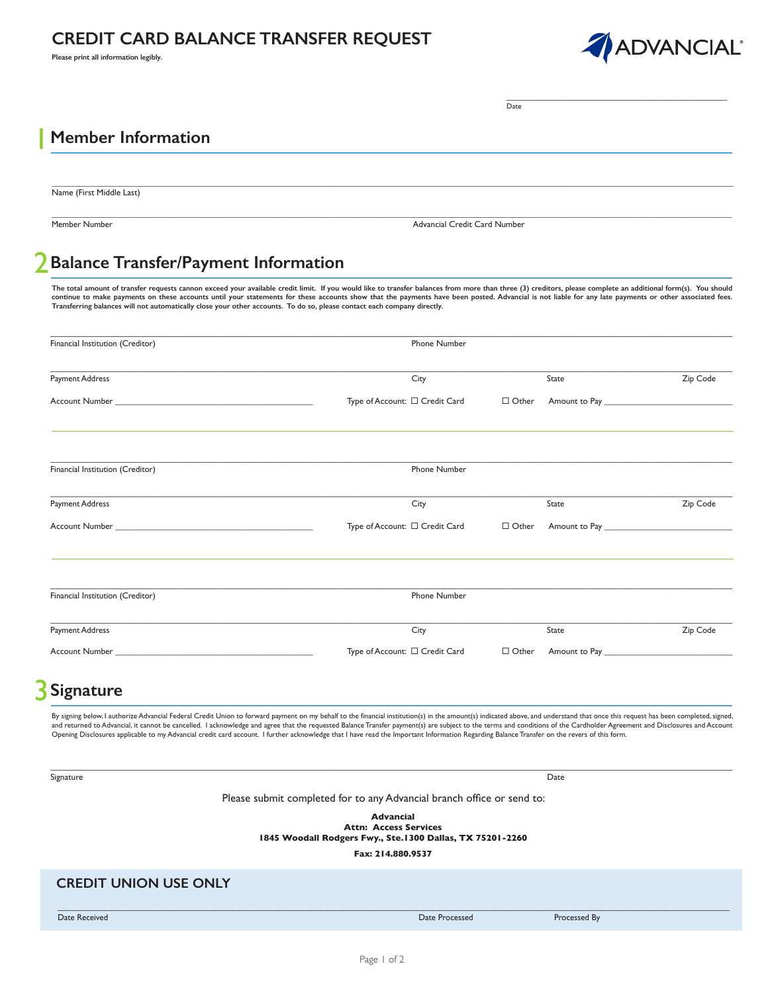## **CREDIT CARD BALANCE TRANSFER REQUEST**

**Please print all information legibly.**



\_\_\_\_\_\_\_\_\_\_\_\_\_\_\_\_\_\_\_\_\_\_\_\_\_\_\_\_\_\_\_\_\_\_\_\_\_\_\_\_\_\_\_\_ Date

### **Member Information** 1

Name (First Middle Last)

Member Number Advancial Credit Card Number

### **Balance Transfer/Payment Information** 2

The total amount of transfer requests cannon exceed your available credit limit. If you would like to transfer balances from more than three (3) creditors, please complete an additional form(s). You should **continue to make payments on these accounts until your statements for these accounts show that the payments have been posted. Advancial is not liable for any late payments or other associated fees. Transferring balances will not automatically close your other accounts. To do so, please contact each company directly.**

 $\_$  , and the set of the set of the set of the set of the set of the set of the set of the set of the set of the set of the set of the set of the set of the set of the set of the set of the set of the set of the set of th

 $\_$  , and the state of the state of the state of the state of the state of the state of the state of the state of the state of the state of the state of the state of the state of the state of the state of the state of the

| Financial Institution (Creditor) | Phone Number                   |              |                                  |          |
|----------------------------------|--------------------------------|--------------|----------------------------------|----------|
| Payment Address                  | City                           |              | State                            | Zip Code |
|                                  | Type of Account: □ Credit Card | $\Box$ Other |                                  |          |
| Financial Institution (Creditor) | Phone Number                   |              |                                  |          |
| Payment Address                  | City                           |              | State                            | Zip Code |
|                                  | Type of Account: □ Credit Card | $\Box$ Other | Amount to Pay <b>Amount 1998</b> |          |
| Financial Institution (Creditor) | Phone Number                   |              |                                  |          |
|                                  |                                |              |                                  |          |
| Payment Address                  | City                           |              | State                            | Zip Code |
|                                  | Type of Account: □ Credit Card | $\Box$ Other |                                  |          |

# **Signature** 3

By signing below, I authorize Advancial Federal Credit Union to forward payment on my behalf to the financial institution(s) in the amount(s) indicated above, and understand that once this request has been completed, signe returned to Advancial, it cannot be cancelled. I acknowledge and agree that the requested Balance Transfer payment(s) are subject to the terms and conditions of the Cardholder Agreement and Disclosures and Account and Disc Opening Disclosures applicable to my Advancial credit card account. I further acknowledge that I have read the Important Information Regarding Balance Transfer on the revers of this form.

 $\_$  , and the state of the state of the state of the state of the state of the state of the state of the state of the state of the state of the state of the state of the state of the state of the state of the state of the

Signature Date

Please submit completed for to any Advancial branch office or send to:

**Advancial**

**Attn: Access Services 1845 Woodall Rodgers Fwy., Ste.1300 Dallas, TX 75201-2260**

**Fax: 214.880.9537**

 $\_$  , and the state of the state of the state of the state of the state of the state of the state of the state of the state of the state of the state of the state of the state of the state of the state of the state of the

## **CREDIT UNION USE ONLY**

Date Received Date Processed Processed By